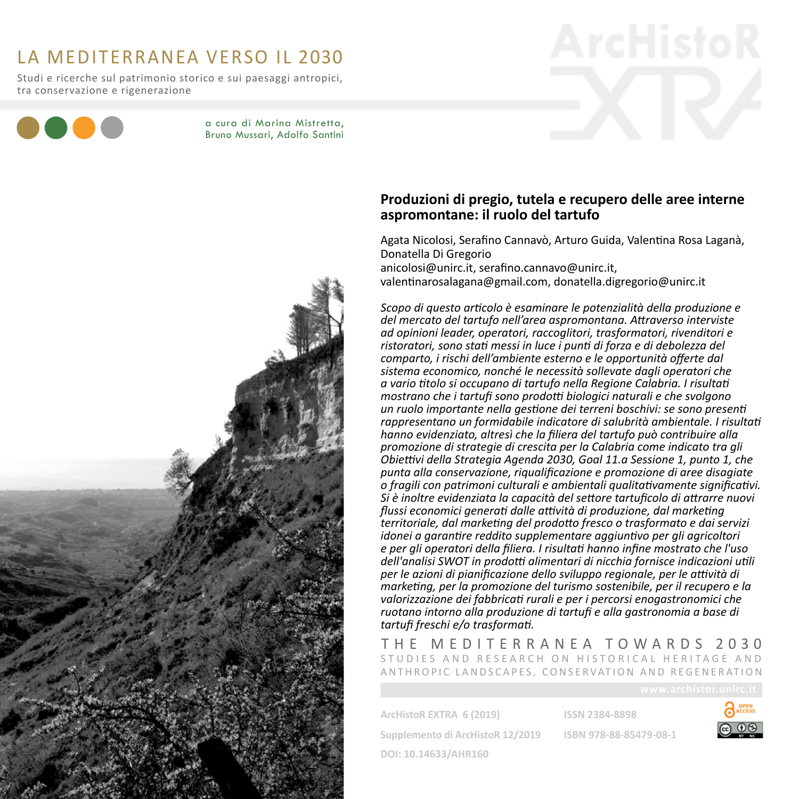# La Mediterranea verso il 2030

Studi e ricerche sul patrimonio storico e sui paesaggi antropici, tra conservazione e rigenerazione



a cura di Marina Mistretta, Bruno Mussari, Adolfo Santini



# **Produzioni di pregio, tutela e recupero delle aree interne aspromontane: il ruolo del tartufo**

Agata Nicolosi, Serafino Cannavò, Arturo Guida, Valentina Rosa Laganà, Donatella Di Gregorio anicolosi@unirc.it, serafino.cannavo@unirc.it, valentinarosalagana@gmail.com, donatella.digregorio@unirc.it

*Scopo di questo articolo è esaminare le potenzialità della produzione e del mercato del tartufo nell'area aspromontana. Attraverso interviste ad opinioni leader, operatori, raccoglitori, trasformatori, rivenditori e ristoratori, sono stati messi in luce i punti di forza e di debolezza del comparto, i rischi dell'ambiente esterno e le opportunità offerte dal sistema economico, nonché le necessità sollevate dagli operatori che a vario titolo si occupano di tartufo nella Regione Calabria. I risultati mostrano che i tartufi sono prodotti biologici naturali e che svolgono un ruolo importante nella gestione dei terreni boschivi: se sono presenti rappresentano un formidabile indicatore di salubrità ambientale. I risultati hanno evidenziato, altresì che la filiera del tartufo può contribuire alla promozione di strategie di crescita per la Calabria come indicato tra gli Obiettivi della Strategia Agenda 2030, Goal 11.a Sessione 1, punto 1, che punta alla conservazione, riqualificazione e promozione di aree disagiate o fragili con patrimoni culturali e ambientali qualitativamente significativi. Si è inoltre evidenziata la capacità del settore tartuficolo di attrarre nuovi flussi economici generati dalle attività di produzione, dal marketing territoriale, dal marketing del prodotto fresco o trasformato e dai servizi idonei a garantire reddito supplementare aggiuntivo per gli agricoltori e per gli operatori della filiera. I risultati hanno infine mostrato che l'uso dell'analisi SWOT in prodotti alimentari di nicchia fornisce indicazioni utili per le azioni di pianificazione dello sviluppo regionale, per le attività di marketing, per la promozione del turismo sostenibile, per il recupero e la valorizzazione dei fabbricati rurali e per i percorsi enogastronomici che ruotano intorno alla produzione di tartufi e alla gastronomia a base di tartufi freschi e/o trasformati.*

T he Mediterranea towards 2030 STUDIES AND RESEARCH ON HISTORICAL HERITAGE AND ANTHROPIC LANDSCAPES, CONSERVATION AND REGENERATION

**ArcHistoR EXTRA 6 (2019)** 

**ISSN 2384-8898**

**Supplemento di ArcHistoR 12/2019 ISBN 978-88-85479-08-1**



**DOI: 10.14633/AHR160**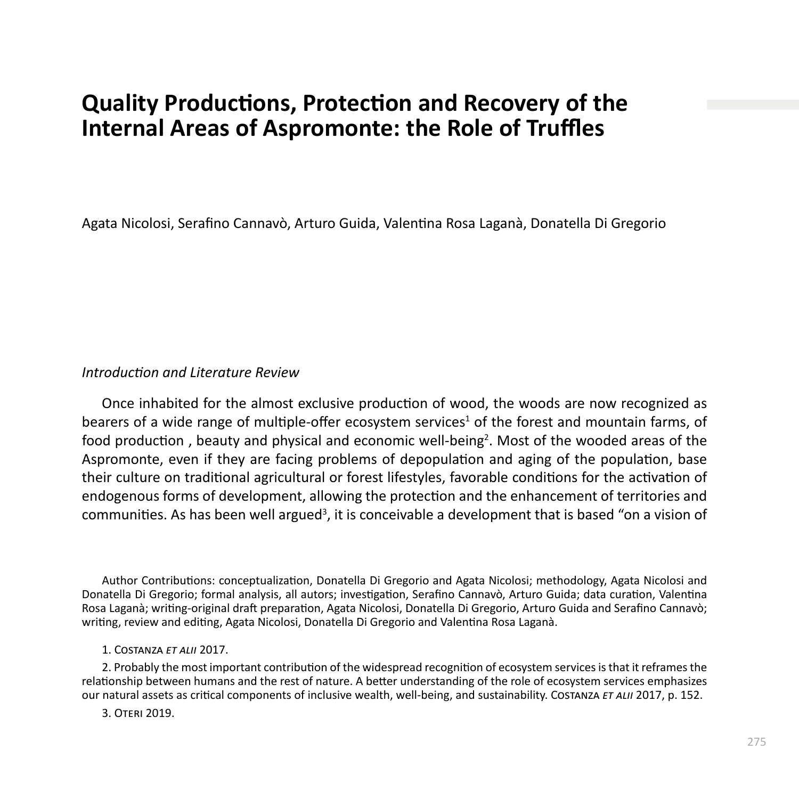# **Quality Productions, Protection and Recovery of the Internal Areas of Aspromonte: the Role of Truffles**

Agata Nicolosi, Serafino Cannavò, Arturo Guida, Valentina Rosa Laganà, Donatella Di Gregorio

# *Introduction and Literature Review*

Once inhabited for the almost exclusive production of wood, the woods are now recognized as bearers of a wide range of multiple-offer ecosystem services<sup>1</sup> of the forest and mountain farms, of food production, beauty and physical and economic well-being<sup>2</sup>. Most of the wooded areas of the Aspromonte, even if they are facing problems of depopulation and aging of the population, base their culture on traditional agricultural or forest lifestyles, favorable conditions for the activation of endogenous forms of development, allowing the protection and the enhancement of territories and communities. As has been well argued<sup>3</sup>, it is conceivable a development that is based "on a vision of

Author Contributions: conceptualization, Donatella Di Gregorio and Agata Nicolosi; methodology, Agata Nicolosi and Donatella Di Gregorio; formal analysis, all autors; investigation, Serafino Cannavò, Arturo Guida; data curation, Valentina Rosa Laganà; writing-original draft preparation, Agata Nicolosi, Donatella Di Gregorio, Arturo Guida and Serafino Cannavò; writing, review and editing, Agata Nicolosi, Donatella Di Gregorio and Valentina Rosa Laganà.

### 1. Costanza *et alii* 2017.

2. Probably the most important contribution of the widespread recognition of ecosystem services is that it reframes the relationship between humans and the rest of nature. A better understanding of the role of ecosystem services emphasizes our natural assets as critical components of inclusive wealth, well-being, and sustainability. Costanza *et alii* 2017, p. 152.

3. Oteri 2019.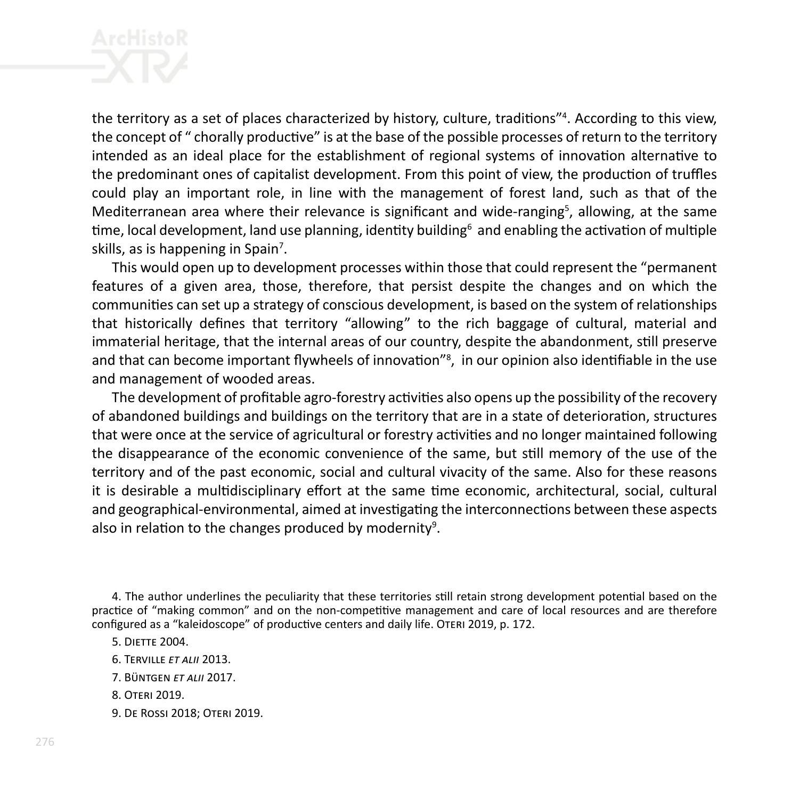the territory as a set of places characterized by history, culture, traditions"<sup>4</sup> . According to this view, the concept of " chorally productive" is at the base of the possible processes of return to the territory intended as an ideal place for the establishment of regional systems of innovation alternative to the predominant ones of capitalist development. From this point of view, the production of truffles could play an important role, in line with the management of forest land, such as that of the Mediterranean area where their relevance is significant and wide-ranging<sup>5</sup>, allowing, at the same time, local development, land use planning, identity building<sup>6</sup> and enabling the activation of multiple skills, as is happening in Spain<sup>7</sup>.

This would open up to development processes within those that could represent the "permanent features of a given area, those, therefore, that persist despite the changes and on which the communities can set up a strategy of conscious development, is based on the system of relationships that historically defines that territory "allowing" to the rich baggage of cultural, material and immaterial heritage, that the internal areas of our country, despite the abandonment, still preserve and that can become important flywheels of innovation"<sup>8</sup>, in our opinion also identifiable in the use and management of wooded areas.

The development of profitable agro-forestry activities also opens up the possibility of the recovery of abandoned buildings and buildings on the territory that are in a state of deterioration, structures that were once at the service of agricultural or forestry activities and no longer maintained following the disappearance of the economic convenience of the same, but still memory of the use of the territory and of the past economic, social and cultural vivacity of the same. Also for these reasons it is desirable a multidisciplinary effort at the same time economic, architectural, social, cultural and geographical-environmental, aimed at investigating the interconnections between these aspects also in relation to the changes produced by modernity<sup>9</sup>.

4. The author underlines the peculiarity that these territories still retain strong development potential based on the practice of "making common" and on the non-competitive management and care of local resources and are therefore configured as a "kaleidoscope" of productive centers and daily life. Oteri 2019, p. 172.

5. Diette 2004.

- 6. Terville *et alii* 2013.
- 7. Büntgen *et alii* 2017.
- 8. Oteri 2019.
- 9. De Rossi 2018; Oteri 2019.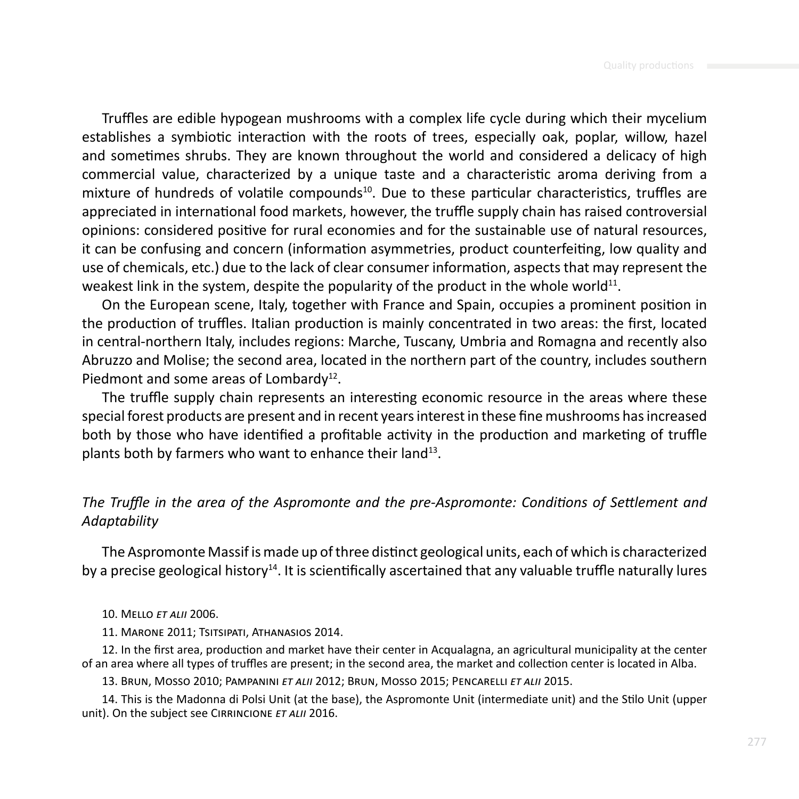Truffles are edible hypogean mushrooms with a complex life cycle during which their mycelium establishes a symbiotic interaction with the roots of trees, especially oak, poplar, willow, hazel and sometimes shrubs. They are known throughout the world and considered a delicacy of high commercial value, characterized by a unique taste and a characteristic aroma deriving from a mixture of hundreds of volatile compounds<sup>10</sup>. Due to these particular characteristics, truffles are appreciated in international food markets, however, the truffle supply chain has raised controversial opinions: considered positive for rural economies and for the sustainable use of natural resources, it can be confusing and concern (information asymmetries, product counterfeiting, low quality and use of chemicals, etc.) due to the lack of clear consumer information, aspects that may represent the weakest link in the system, despite the popularity of the product in the whole world<sup>11</sup>.

On the European scene, Italy, together with France and Spain, occupies a prominent position in the production of truffles. Italian production is mainly concentrated in two areas: the first, located in central-northern Italy, includes regions: Marche, Tuscany, Umbria and Romagna and recently also Abruzzo and Molise; the second area, located in the northern part of the country, includes southern Piedmont and some areas of Lombardy<sup>12</sup>.

The truffle supply chain represents an interesting economic resource in the areas where these special forest products are present and in recent years interest in these fine mushrooms has increased both by those who have identified a profitable activity in the production and marketing of truffle plants both by farmers who want to enhance their land<sup>13</sup>.

# *The Truffle in the area of the Aspromonte and the pre-Aspromonte: Conditions of Settlement and Adaptability*

The Aspromonte Massif is made up of three distinct geological units, each of which is characterized by a precise geological history<sup>14</sup>. It is scientifically ascertained that any valuable truffle naturally lures

### 10. Mello *et alii* 2006.

11. Marone 2011; Tsitsipati, Athanasios 2014.

12. In the first area, production and market have their center in Acqualagna, an agricultural municipality at the center of an area where all types of truffles are present; in the second area, the market and collection center is located in Alba.

13. Brun, Mosso 2010; Pampanini *et alii* 2012; Brun, Mosso 2015; Pencarelli *et alii* 2015.

14. This is the Madonna di Polsi Unit (at the base), the Aspromonte Unit (intermediate unit) and the Stilo Unit (upper unit). On the subject see CIRRINCIONE ET ALII 2016.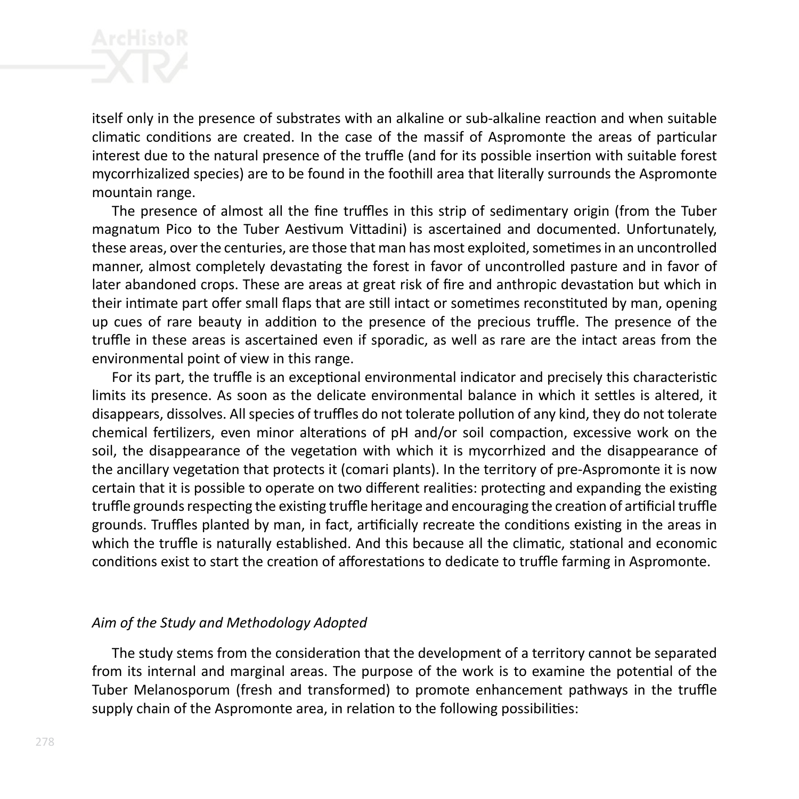itself only in the presence of substrates with an alkaline or sub-alkaline reaction and when suitable climatic conditions are created. In the case of the massif of Aspromonte the areas of particular interest due to the natural presence of the truffle (and for its possible insertion with suitable forest mycorrhizalized species) are to be found in the foothill area that literally surrounds the Aspromonte mountain range.

The presence of almost all the fine truffles in this strip of sedimentary origin (from the Tuber magnatum Pico to the Tuber Aestivum Vittadini) is ascertained and documented. Unfortunately, these areas, over the centuries, are those that man has most exploited, sometimes in an uncontrolled manner, almost completely devastating the forest in favor of uncontrolled pasture and in favor of later abandoned crops. These are areas at great risk of fire and anthropic devastation but which in their intimate part offer small flaps that are still intact or sometimes reconstituted by man, opening up cues of rare beauty in addition to the presence of the precious truffle. The presence of the truffle in these areas is ascertained even if sporadic, as well as rare are the intact areas from the environmental point of view in this range.

For its part, the truffle is an exceptional environmental indicator and precisely this characteristic limits its presence. As soon as the delicate environmental balance in which it settles is altered, it disappears, dissolves. All species of truffles do not tolerate pollution of any kind, they do not tolerate chemical fertilizers, even minor alterations of pH and/or soil compaction, excessive work on the soil, the disappearance of the vegetation with which it is mycorrhized and the disappearance of the ancillary vegetation that protects it (comari plants). In the territory of pre-Aspromonte it is now certain that it is possible to operate on two different realities: protecting and expanding the existing truffle grounds respecting the existing truffle heritage and encouraging the creation of artificial truffle grounds. Truffles planted by man, in fact, artificially recreate the conditions existing in the areas in which the truffle is naturally established. And this because all the climatic, stational and economic conditions exist to start the creation of afforestations to dedicate to truffle farming in Aspromonte.

# *Aim of the Study and Methodology Adopted*

The study stems from the consideration that the development of a territory cannot be separated from its internal and marginal areas. The purpose of the work is to examine the potential of the Tuber Melanosporum (fresh and transformed) to promote enhancement pathways in the truffle supply chain of the Aspromonte area, in relation to the following possibilities: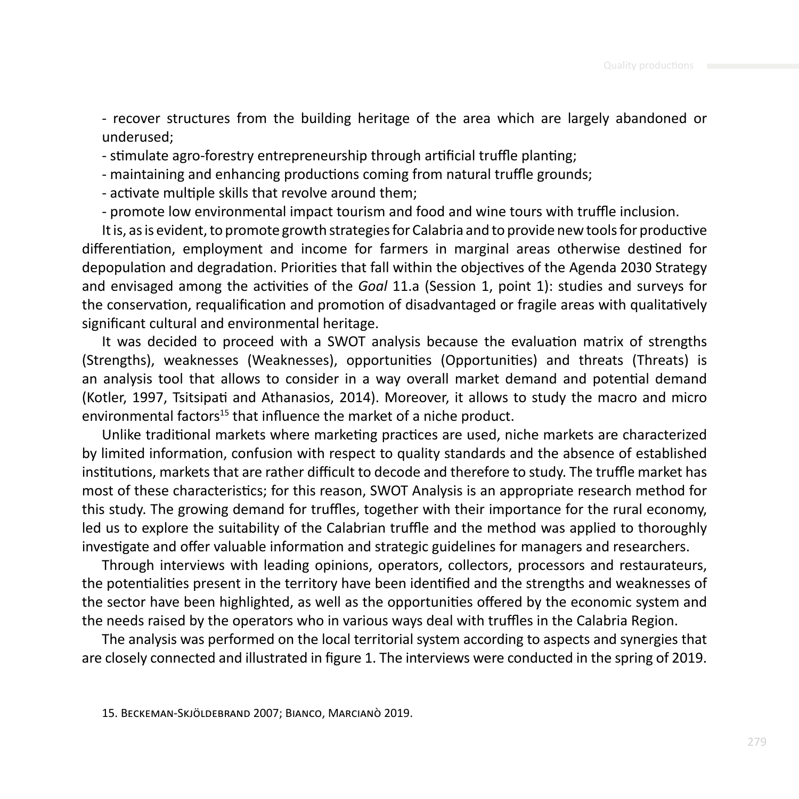- recover structures from the building heritage of the area which are largely abandoned or underused;

- stimulate agro-forestry entrepreneurship through artificial truffle planting;

- maintaining and enhancing productions coming from natural truffle grounds;

- activate multiple skills that revolve around them;

- promote low environmental impact tourism and food and wine tours with truffle inclusion.

It is, as is evident, to promote growth strategies for Calabria and to provide new tools for productive differentiation, employment and income for farmers in marginal areas otherwise destined for depopulation and degradation. Priorities that fall within the objectives of the Agenda 2030 Strategy and envisaged among the activities of the *Goal* 11.a (Session 1, point 1): studies and surveys for the conservation, requalification and promotion of disadvantaged or fragile areas with qualitatively significant cultural and environmental heritage.

It was decided to proceed with a SWOT analysis because the evaluation matrix of strengths (Strengths), weaknesses (Weaknesses), opportunities (Opportunities) and threats (Threats) is an analysis tool that allows to consider in a way overall market demand and potential demand (Kotler, 1997, Tsitsipati and Athanasios, 2014). Moreover, it allows to study the macro and micro environmental factors<sup>15</sup> that influence the market of a niche product.

Unlike traditional markets where marketing practices are used, niche markets are characterized by limited information, confusion with respect to quality standards and the absence of established institutions, markets that are rather difficult to decode and therefore to study. The truffle market has most of these characteristics; for this reason, SWOT Analysis is an appropriate research method for this study. The growing demand for truffles, together with their importance for the rural economy, led us to explore the suitability of the Calabrian truffle and the method was applied to thoroughly investigate and offer valuable information and strategic guidelines for managers and researchers.

Through interviews with leading opinions, operators, collectors, processors and restaurateurs, the potentialities present in the territory have been identified and the strengths and weaknesses of the sector have been highlighted, as well as the opportunities offered by the economic system and the needs raised by the operators who in various ways deal with truffles in the Calabria Region.

The analysis was performed on the local territorial system according to aspects and synergies that are closely connected and illustrated in figure 1. The interviews were conducted in the spring of 2019.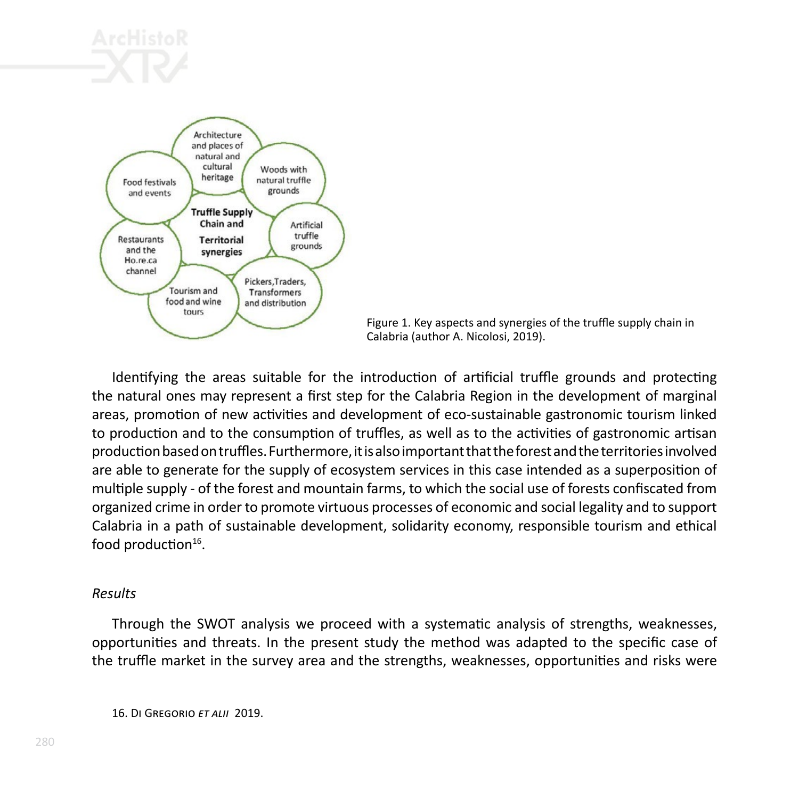



Figure 1. Key aspects and synergies of the truffle supply chain in Calabria (author A. Nicolosi, 2019).

Identifying the areas suitable for the introduction of artificial truffle grounds and protecting the natural ones may represent a first step for the Calabria Region in the development of marginal areas, promotion of new activities and development of eco-sustainable gastronomic tourism linked to production and to the consumption of truffles, as well as to the activities of gastronomic artisan production based on truffles. Furthermore, it is also important that the forest and the territories involved are able to generate for the supply of ecosystem services in this case intended as a superposition of multiple supply - of the forest and mountain farms, to which the social use of forests confiscated from organized crime in order to promote virtuous processes of economic and social legality and to support Calabria in a path of sustainable development, solidarity economy, responsible tourism and ethical food production<sup>16</sup>.

# *Results*

Through the SWOT analysis we proceed with a systematic analysis of strengths, weaknesses, opportunities and threats. In the present study the method was adapted to the specific case of the truffle market in the survey area and the strengths, weaknesses, opportunities and risks were

16. Di Gregorio *et alii* 2019.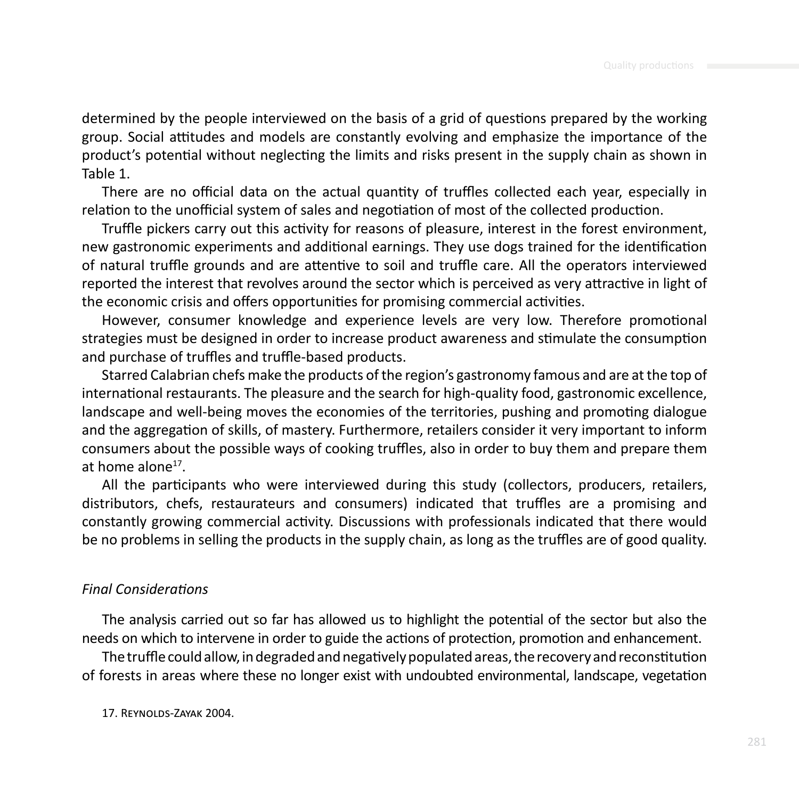determined by the people interviewed on the basis of a grid of questions prepared by the working group. Social attitudes and models are constantly evolving and emphasize the importance of the product's potential without neglecting the limits and risks present in the supply chain as shown in Table 1.

There are no official data on the actual quantity of truffles collected each year, especially in relation to the unofficial system of sales and negotiation of most of the collected production.

Truffle pickers carry out this activity for reasons of pleasure, interest in the forest environment, new gastronomic experiments and additional earnings. They use dogs trained for the identification of natural truffle grounds and are attentive to soil and truffle care. All the operators interviewed reported the interest that revolves around the sector which is perceived as very attractive in light of the economic crisis and offers opportunities for promising commercial activities.

However, consumer knowledge and experience levels are very low. Therefore promotional strategies must be designed in order to increase product awareness and stimulate the consumption and purchase of truffles and truffle-based products.

Starred Calabrian chefs make the products of the region's gastronomy famous and are at the top of international restaurants. The pleasure and the search for high-quality food, gastronomic excellence, landscape and well-being moves the economies of the territories, pushing and promoting dialogue and the aggregation of skills, of mastery. Furthermore, retailers consider it very important to inform consumers about the possible ways of cooking truffles, also in order to buy them and prepare them at home alone $17$ .

All the participants who were interviewed during this study (collectors, producers, retailers, distributors, chefs, restaurateurs and consumers) indicated that truffles are a promising and constantly growing commercial activity. Discussions with professionals indicated that there would be no problems in selling the products in the supply chain, as long as the truffles are of good quality.

## *Final Considerations*

The analysis carried out so far has allowed us to highlight the potential of the sector but also the needs on which to intervene in order to guide the actions of protection, promotion and enhancement.

The truffle could allow, in degraded and negatively populated areas, the recovery and reconstitution of forests in areas where these no longer exist with undoubted environmental, landscape, vegetation

17. Reynolds-Zayak 2004.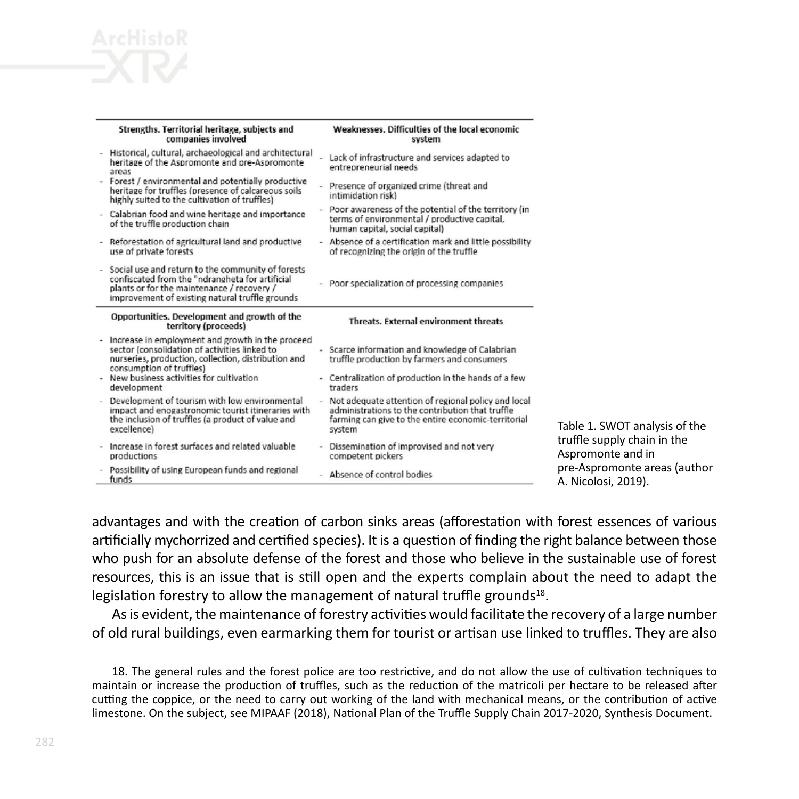

|   | Strengths. Territorial heritage, subjects and<br>companies involved                                                                                                                                   | Weaknesses, Difficulties of the local economic<br>system                                                                                                                 |                                |
|---|-------------------------------------------------------------------------------------------------------------------------------------------------------------------------------------------------------|--------------------------------------------------------------------------------------------------------------------------------------------------------------------------|--------------------------------|
|   | Historical, cultural, archaeological and architectural<br>heritage of the Aspromonte and pre-Aspromonte<br>areas                                                                                      | Lack of infrastructure and services adapted to<br>entrepreneurial needs                                                                                                  |                                |
|   | Forest / environmental and potentially productive<br>heritage for truffles (presence of calcareous soils<br>highly suited to the cultivation of truffles)                                             | - Presence of organized crime (threat and<br>intimidation risk)                                                                                                          |                                |
|   | Calabrian food and wine heritage and importance<br>of the truffle production chain                                                                                                                    | - Poor awareness of the potential of the territory (in<br>terms of environmental / productive capital.<br>human capital, social capital)                                 |                                |
|   | - Reforestation of agricultural land and productive<br>use of private forests                                                                                                                         | - Absence of a certification mark and little possibility<br>of recognizing the origin of the truffle                                                                     |                                |
|   | Social use and return to the community of forests<br>confiscated from the "ndrangheta for artificial<br>plants or for the maintenance / recovery /<br>improvement of existing natural truffle grounds | - Poor specialization of processing companies                                                                                                                            |                                |
|   | Opportunities. Development and growth of the<br>territory (proceeds)                                                                                                                                  | Threats. External environment threats.                                                                                                                                   |                                |
|   |                                                                                                                                                                                                       |                                                                                                                                                                          |                                |
| ٠ | Increase in employment and growth in the proceed<br>sector (consolidation of activities linked to<br>nurseries, production, collection, distribution and                                              | - Scarce information and knowledge of Calabrian<br>truffle production by farmers and consumers                                                                           |                                |
|   | consumption of truffles)<br>New business activities for cultivation<br>development                                                                                                                    | - Centralization of production in the hands of a few<br>traders                                                                                                          |                                |
| × | Development of tourism with low environmental<br>impact and enogastronomic tourist itineraries with<br>the inclusion of truffles (a product of value and<br>excellence)                               | Not adequate attention of regional policy and local<br>administrations to the contribution that truffle<br>farming can give to the entire economic-territorial<br>system |                                |
|   | Increase in forest surfaces and related valuable<br>productions                                                                                                                                       | - Dissemination of improvised and not very<br>competent pickers                                                                                                          | Table 1<br>truffle :<br>Asprom |

. SWOT analysis of the supply chain in the honte and in promonte areas (author losi, 2019).

advantages and with the creation of carbon sinks areas (afforestation with forest essences of various artificially mychorrized and certified species). It is a question of finding the right balance between those who push for an absolute defense of the forest and those who believe in the sustainable use of forest resources, this is an issue that is still open and the experts complain about the need to adapt the legislation forestry to allow the management of natural truffle grounds<sup>18</sup>.

As is evident, the maintenance of forestry activities would facilitate the recovery of a large number of old rural buildings, even earmarking them for tourist or artisan use linked to truffles. They are also

18. The general rules and the forest police are too restrictive, and do not allow the use of cultivation techniques to maintain or increase the production of truffles, such as the reduction of the matricoli per hectare to be released after cutting the coppice, or the need to carry out working of the land with mechanical means, or the contribution of active limestone. On the subject, see MIPAAF (2018), National Plan of the Truffle Supply Chain 2017-2020, Synthesis Document.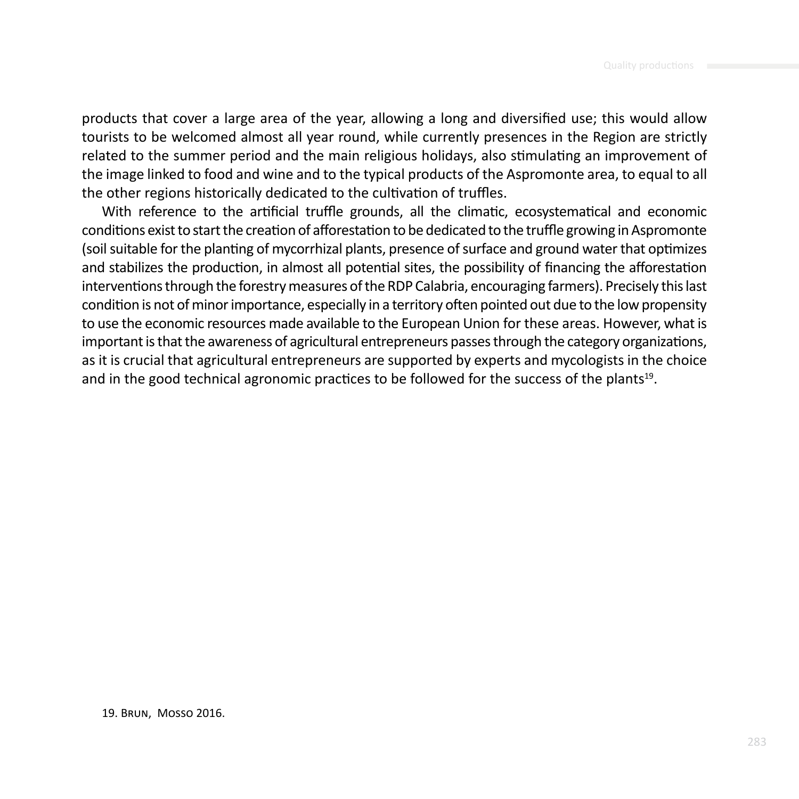products that cover a large area of the year, allowing a long and diversified use; this would allow tourists to be welcomed almost all year round, while currently presences in the Region are strictly related to the summer period and the main religious holidays, also stimulating an improvement of the image linked to food and wine and to the typical products of the Aspromonte area, to equal to all the other regions historically dedicated to the cultivation of truffles.

With reference to the artificial truffle grounds, all the climatic, ecosystematical and economic conditions exist to start the creation of afforestation to be dedicated to the truffle growing in Aspromonte (soil suitable for the planting of mycorrhizal plants, presence of surface and ground water that optimizes and stabilizes the production, in almost all potential sites, the possibility of financing the afforestation interventions through the forestry measures of the RDP Calabria, encouraging farmers). Precisely this last condition is not of minor importance, especially in a territory often pointed out due to the low propensity to use the economic resources made available to the European Union for these areas. However, what is important is that the awareness of agricultural entrepreneurs passes through the category organizations, as it is crucial that agricultural entrepreneurs are supported by experts and mycologists in the choice and in the good technical agronomic practices to be followed for the success of the plants<sup>19</sup>.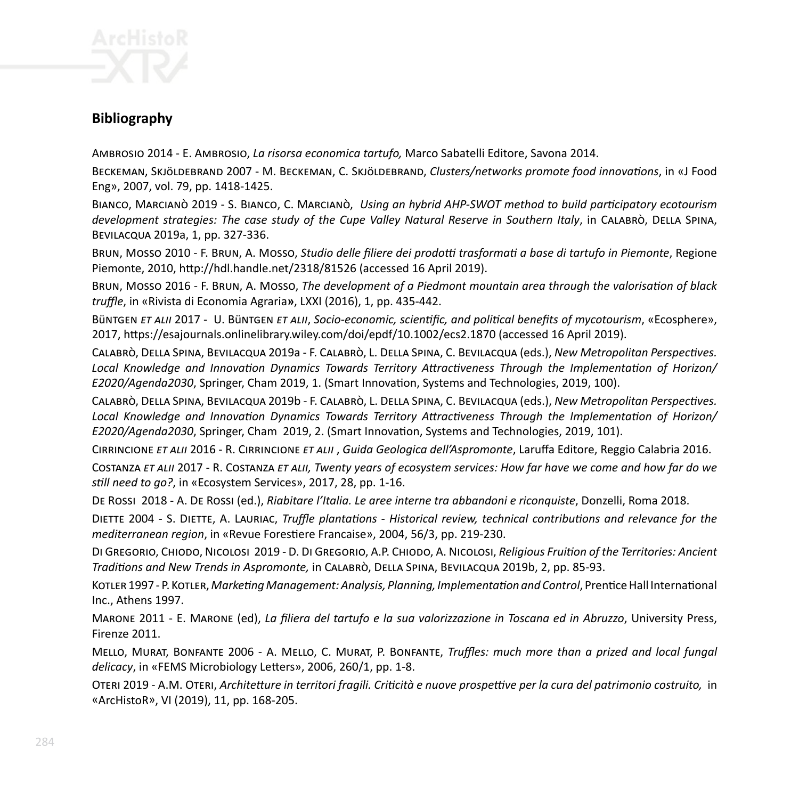

# **Bibliography**

Ambrosio 2014 - E. Ambrosio, *La risorsa economica tartufo,* Marco Sabatelli Editore, Savona 2014.

Beckeman, Skjöldebrand 2007 - M. Beckeman, C. Skjöldebrand, *Clusters/networks promote food innovations*, in «J Food Eng», 2007, vol. 79, pp. 1418-1425.

Bianco, Marcianò 2019 - S. Bianco, C. Marcianò, *Using an hybrid AHP-SWOT method to build participatory ecotourism development strategies: The case study of the Cupe Valley Natural Reserve in Southern Italy*, in Calabrò, Della Spina, Bevilacqua 2019a, 1, pp. 327-336.

Brun, Mosso 2010 - F. Brun, A. Mosso, *Studio delle filiere dei prodotti trasformati a base di tartufo in Piemonte*, Regione Piemonte, 2010, http://hdl.handle.net/2318/81526 (accessed 16 April 2019).

Brun, Mosso 2016 - F. Brun, A. Mosso, *The development of a Piedmont mountain area through the valorisation of black truffle*, in «Rivista di Economia Agraria**»**, LXXI (2016), 1, pp. 435-442.

Büntgen *et alii* 2017 - U. Büntgen *et alii*, *Socio-economic, scientific, and political benefits of mycotourism*, «Ecosphere», 2017, https://esajournals.onlinelibrary.wiley.com/doi/epdf/10.1002/ecs2.1870 (accessed 16 April 2019).

Calabrò, Della Spina, Bevilacqua 2019a - F. Calabrò, L. Della Spina, C. Bevilacqua (eds.), *New Metropolitan Perspectives. Local Knowledge and Innovation Dynamics Towards Territory Attractiveness Through the Implementation of Horizon/ E2020/Agenda2030*, Springer, Cham 2019, 1. (Smart Innovation, Systems and Technologies, 2019, 100).

Calabrò, Della Spina, Bevilacqua 2019b - F. Calabrò, L. Della Spina, C. Bevilacqua (eds.), *New Metropolitan Perspectives. Local Knowledge and Innovation Dynamics Towards Territory Attractiveness Through the Implementation of Horizon/ E2020/Agenda2030*, Springer, Cham 2019, 2. (Smart Innovation, Systems and Technologies, 2019, 101).

Cirrincione *et alii* 2016 - R. Cirrincione *et alii* , *Guida Geologica dell'Aspromonte*, Laruffa Editore, Reggio Calabria 2016.

Costanza *et alii* 2017 - R. Costanza *et alii, Twenty years of ecosystem services: How far have we come and how far do we still need to go?*, in «Ecosystem Services», 2017, 28, pp. 1-16.

De Rossi 2018 - A. De Rossi (ed.), *Riabitare l'Italia. Le aree interne tra abbandoni e riconquiste*, Donzelli, Roma 2018.

Diette 2004 - S. Diette, A. Lauriac, *Truffle plantations - Historical review, technical contributions and relevance for the mediterranean region*, in «Revue Forestiere Francaise», 2004, 56/3, pp. 219-230.

Di Gregorio, Chiodo, Nicolosi 2019 - D. Di Gregorio, A.P. Chiodo, A. Nicolosi, *Religious Fruition of the Territories: Ancient Traditions and New Trends in Aspromonte,* in Calabrò, Della Spina, Bevilacqua 2019b, 2, pp. 85-93.

Kotler 1997 - P. Kotler, *Marketing Management: Analysis, Planning, Implementation and Control*, Prentice Hall International Inc., Athens 1997.

Marone 2011 - E. Marone (ed), *La filiera del tartufo e la sua valorizzazione in Toscana ed in Abruzzo*, University Press, Firenze 2011.

Mello, Murat, Bonfante 2006 - A. Mello, C. Murat, P. Bonfante, *Truffles: much more than a prized and local fungal delicacy*, in «FEMS Microbiology Letters», 2006, 260/1, pp. 1-8.

Oteri 2019 - A.M. Oteri, *Architetture in territori fragili. Criticità e nuove prospettive per la cura del patrimonio costruito,* in «ArcHistoR», VI (2019), 11, pp. 168-205.